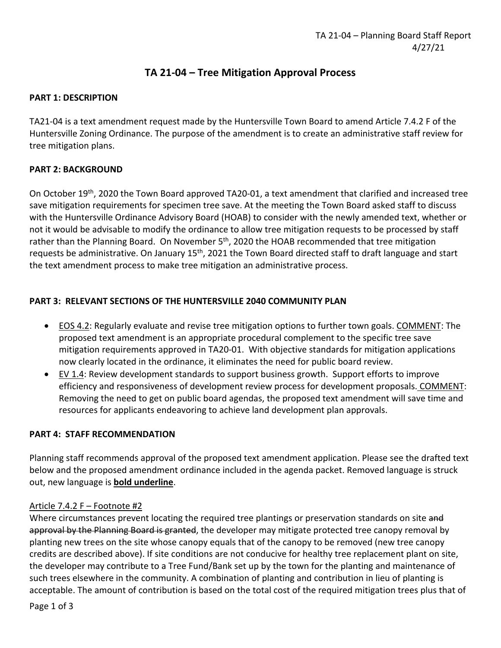# **TA 21-04 – Tree Mitigation Approval Process**

## **PART 1: DESCRIPTION**

TA21-04 is a text amendment request made by the Huntersville Town Board to amend Article 7.4.2 F of the Huntersville Zoning Ordinance. The purpose of the amendment is to create an administrative staff review for tree mitigation plans.

## **PART 2: BACKGROUND**

On October 19th, 2020 the Town Board approved TA20-01, a text amendment that clarified and increased tree save mitigation requirements for specimen tree save. At the meeting the Town Board asked staff to discuss with the Huntersville Ordinance Advisory Board (HOAB) to consider with the newly amended text, whether or not it would be advisable to modify the ordinance to allow tree mitigation requests to be processed by staff rather than the Planning Board. On November 5<sup>th</sup>, 2020 the HOAB recommended that tree mitigation requests be administrative. On January 15<sup>th</sup>, 2021 the Town Board directed staff to draft language and start the text amendment process to make tree mitigation an administrative process.

## **PART 3: RELEVANT SECTIONS OF THE HUNTERSVILLE 2040 COMMUNITY PLAN**

- EOS 4.2: Regularly evaluate and revise tree mitigation options to further town goals. COMMENT: The proposed text amendment is an appropriate procedural complement to the specific tree save mitigation requirements approved in TA20-01. With objective standards for mitigation applications now clearly located in the ordinance, it eliminates the need for public board review.
- EV 1.4: Review development standards to support business growth. Support efforts to improve efficiency and responsiveness of development review process for development proposals. COMMENT: Removing the need to get on public board agendas, the proposed text amendment will save time and resources for applicants endeavoring to achieve land development plan approvals.

## **PART 4: STAFF RECOMMENDATION**

Planning staff recommends approval of the proposed text amendment application. Please see the drafted text below and the proposed amendment ordinance included in the agenda packet. Removed language is struck out, new language is **bold underline**.

### Article 7.4.2 F – Footnote #2

Where circumstances prevent locating the required tree plantings or preservation standards on site and approval by the Planning Board is granted, the developer may mitigate protected tree canopy removal by planting new trees on the site whose canopy equals that of the canopy to be removed (new tree canopy credits are described above). If site conditions are not conducive for healthy tree replacement plant on site, the developer may contribute to a Tree Fund/Bank set up by the town for the planting and maintenance of such trees elsewhere in the community. A combination of planting and contribution in lieu of planting is acceptable. The amount of contribution is based on the total cost of the required mitigation trees plus that of

Page 1 of 3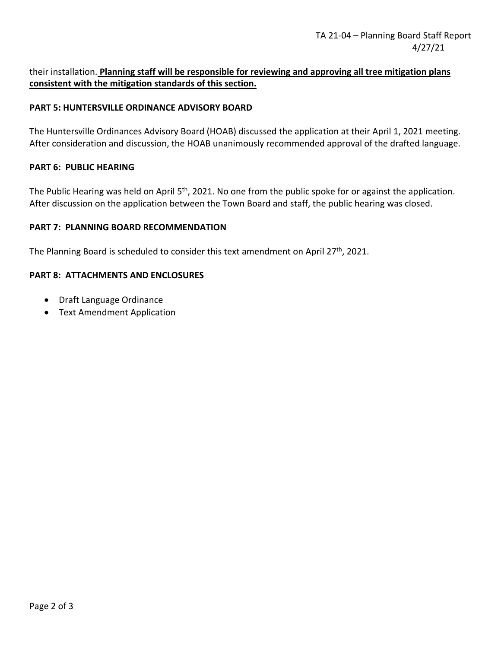## their installation. **Planning staff will be responsible for reviewing and approving all tree mitigation plans consistent with the mitigation standards of this section.**

### **PART 5: HUNTERSVILLE ORDINANCE ADVISORY BOARD**

The Huntersville Ordinances Advisory Board (HOAB) discussed the application at their April 1, 2021 meeting. After consideration and discussion, the HOAB unanimously recommended approval of the drafted language.

#### **PART 6: PUBLIC HEARING**

The Public Hearing was held on April 5<sup>th</sup>, 2021. No one from the public spoke for or against the application. After discussion on the application between the Town Board and staff, the public hearing was closed.

#### **PART 7: PLANNING BOARD RECOMMENDATION**

The Planning Board is scheduled to consider this text amendment on April 27<sup>th</sup>, 2021.

### **PART 8: ATTACHMENTS AND ENCLOSURES**

- Draft Language Ordinance
- Text Amendment Application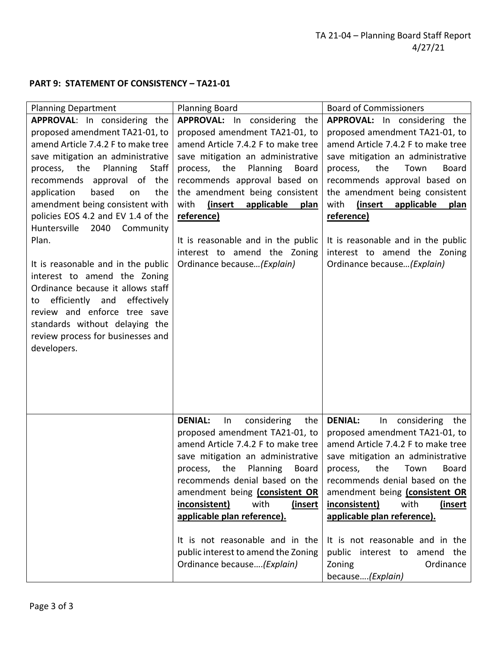# **PART 9: STATEMENT OF CONSISTENCY – TA21-01**

| <b>Planning Department</b>                                                                                                                                                                                                                                                                                                                                                                                                                                                                                                                                                                                                                                  | <b>Planning Board</b>                                                                                                                                                                                                                                                                                                                                                                                                                           | <b>Board of Commissioners</b>                                                                                                                                                                                                                                                                                                                                                                                                                                  |
|-------------------------------------------------------------------------------------------------------------------------------------------------------------------------------------------------------------------------------------------------------------------------------------------------------------------------------------------------------------------------------------------------------------------------------------------------------------------------------------------------------------------------------------------------------------------------------------------------------------------------------------------------------------|-------------------------------------------------------------------------------------------------------------------------------------------------------------------------------------------------------------------------------------------------------------------------------------------------------------------------------------------------------------------------------------------------------------------------------------------------|----------------------------------------------------------------------------------------------------------------------------------------------------------------------------------------------------------------------------------------------------------------------------------------------------------------------------------------------------------------------------------------------------------------------------------------------------------------|
| APPROVAL: In considering the<br>proposed amendment TA21-01, to<br>amend Article 7.4.2 F to make tree<br>save mitigation an administrative<br>the<br>Planning<br><b>Staff</b><br>process,<br>recommends approval of the<br>application<br>based<br>the<br>on<br>amendment being consistent with<br>policies EOS 4.2 and EV 1.4 of the<br>Huntersville<br>2040<br>Community<br>Plan.<br>It is reasonable and in the public<br>interest to amend the Zoning<br>Ordinance because it allows staff<br>efficiently and<br>effectively<br>to<br>review and enforce tree save<br>standards without delaying the<br>review process for businesses and<br>developers. | APPROVAL: In considering the<br>proposed amendment TA21-01, to<br>amend Article 7.4.2 F to make tree<br>save mitigation an administrative<br>Planning<br>the<br><b>Board</b><br>process,<br>recommends approval based on<br>the amendment being consistent<br>with<br>(insert<br>applicable<br>plan<br>reference)<br>It is reasonable and in the public<br>interest to amend the Zoning<br>Ordinance because (Explain)                          | APPROVAL: In considering the<br>proposed amendment TA21-01, to<br>amend Article 7.4.2 F to make tree<br>save mitigation an administrative<br>the<br>Town<br><b>Board</b><br>process,<br>recommends approval based on<br>the amendment being consistent<br>with<br>(insert<br>applicable<br>plan<br>reference)<br>It is reasonable and in the public<br>interest to amend the Zoning<br>Ordinance because (Explain)                                             |
|                                                                                                                                                                                                                                                                                                                                                                                                                                                                                                                                                                                                                                                             | <b>DENIAL:</b><br>In<br>considering<br>the<br>proposed amendment TA21-01, to<br>amend Article 7.4.2 F to make tree<br>save mitigation an administrative<br>process, the Planning<br><b>Board</b><br>recommends denial based on the<br>amendment being (consistent OR<br>inconsistent)<br>with<br>(insert<br>applicable plan reference).<br>It is not reasonable and in the<br>public interest to amend the Zoning<br>Ordinance because(Explain) | <b>DENIAL:</b><br>considering<br>In<br>the<br>proposed amendment TA21-01, to<br>amend Article 7.4.2 F to make tree<br>save mitigation an administrative<br>the<br>Town<br><b>Board</b><br>process,<br>recommends denial based on the<br>amendment being (consistent OR<br>inconsistent)<br>with<br><u>(insert</u><br>applicable plan reference).<br>It is not reasonable and in the<br>public interest to amend the<br>Ordinance<br>Zoning<br>because(Explain) |